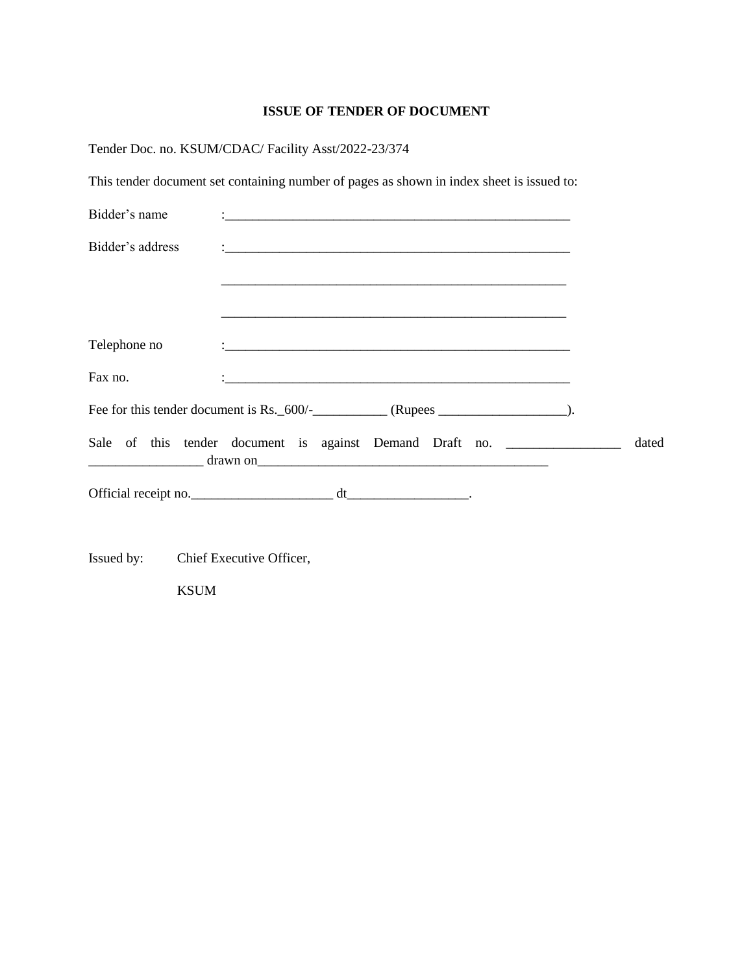### **ISSUE OF TENDER OF DOCUMENT**

| This tender document set containing number of pages as shown in index sheet is issued to:  |
|--------------------------------------------------------------------------------------------|
|                                                                                            |
|                                                                                            |
|                                                                                            |
|                                                                                            |
|                                                                                            |
|                                                                                            |
|                                                                                            |
| Sale of this tender document is against Demand Draft no. ________________________<br>dated |
|                                                                                            |
|                                                                                            |
|                                                                                            |
|                                                                                            |
|                                                                                            |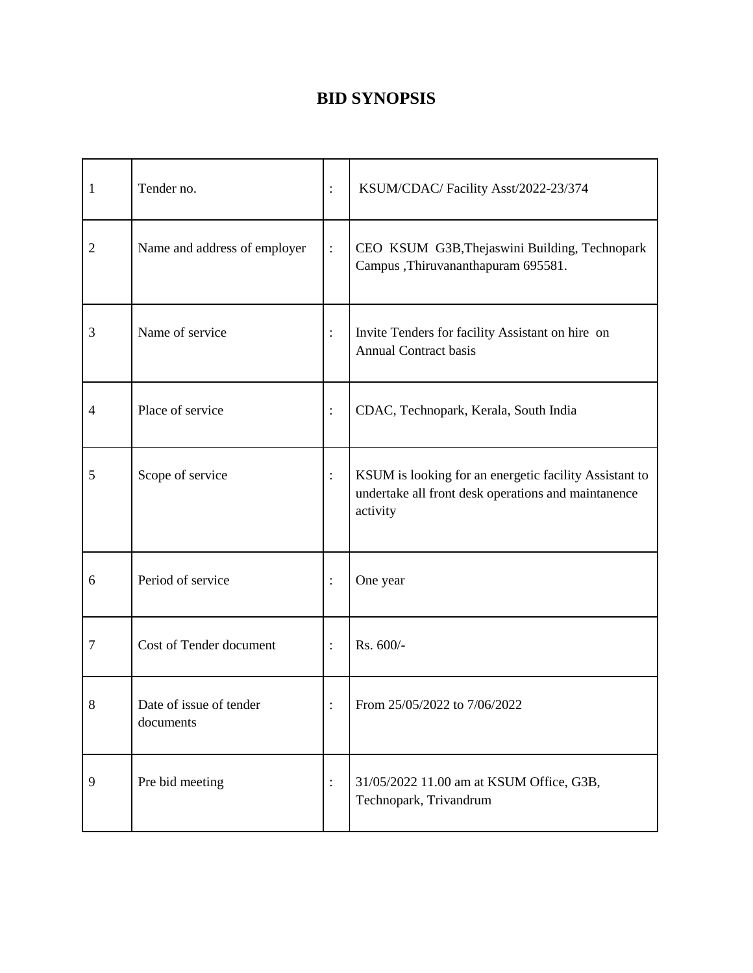## **BID SYNOPSIS**

| 1              | Tender no.                           | $\vdots$       | KSUM/CDAC/ Facility Asst/2022-23/374                                                                                      |
|----------------|--------------------------------------|----------------|---------------------------------------------------------------------------------------------------------------------------|
| $\overline{2}$ | Name and address of employer         | $\vdots$       | CEO KSUM G3B, Thejaswini Building, Technopark<br>Campus, Thiruvananthapuram 695581.                                       |
| 3              | Name of service                      | $\vdots$       | Invite Tenders for facility Assistant on hire on<br><b>Annual Contract basis</b>                                          |
| 4              | Place of service                     | $\vdots$       | CDAC, Technopark, Kerala, South India                                                                                     |
| 5              | Scope of service                     | $\vdots$       | KSUM is looking for an energetic facility Assistant to<br>undertake all front desk operations and maintanence<br>activity |
| 6              | Period of service                    | $\vdots$       | One year                                                                                                                  |
| $\tau$         | Cost of Tender document              | $\vdots$       | Rs. 600/-                                                                                                                 |
| 8              | Date of issue of tender<br>documents |                | From 25/05/2022 to 7/06/2022                                                                                              |
| 9              | Pre bid meeting                      | $\ddot{\cdot}$ | 31/05/2022 11.00 am at KSUM Office, G3B,<br>Technopark, Trivandrum                                                        |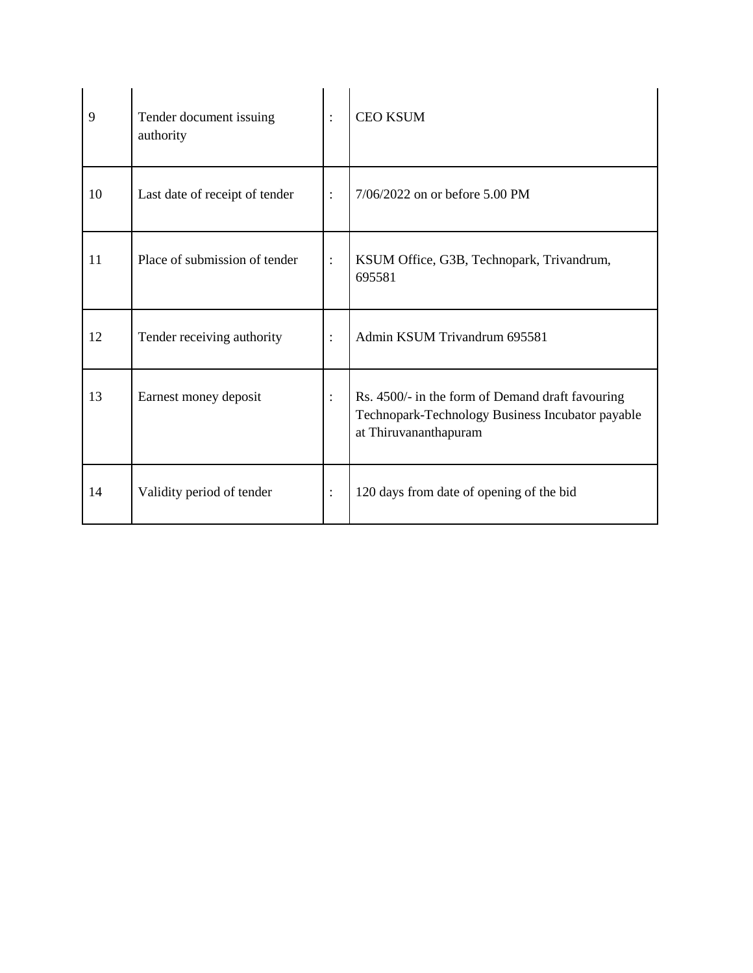| 9  | Tender document issuing<br>authority | $\ddot{\cdot}$ | <b>CEO KSUM</b>                                                                                                               |
|----|--------------------------------------|----------------|-------------------------------------------------------------------------------------------------------------------------------|
| 10 | Last date of receipt of tender       | $\ddot{\cdot}$ | $7/06/2022$ on or before 5.00 PM                                                                                              |
| 11 | Place of submission of tender        | $\ddot{\cdot}$ | KSUM Office, G3B, Technopark, Trivandrum,<br>695581                                                                           |
| 12 | Tender receiving authority           | $\ddot{\cdot}$ | Admin KSUM Trivandrum 695581                                                                                                  |
| 13 | Earnest money deposit                | $\ddot{\cdot}$ | Rs. 4500/- in the form of Demand draft favouring<br>Technopark-Technology Business Incubator payable<br>at Thiruvananthapuram |
| 14 | Validity period of tender            | $\ddot{\cdot}$ | 120 days from date of opening of the bid                                                                                      |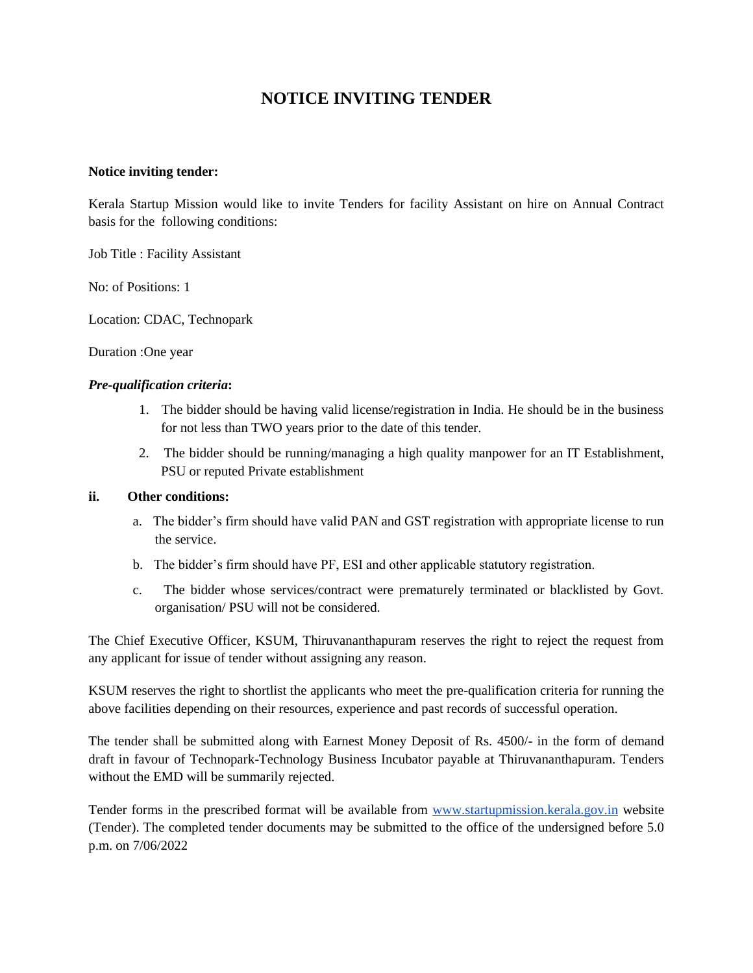### **NOTICE INVITING TENDER**

#### **Notice inviting tender:**

Kerala Startup Mission would like to invite Tenders for facility Assistant on hire on Annual Contract basis for the following conditions:

Job Title : Facility Assistant

No: of Positions: 1

Location: CDAC, Technopark

Duration :One year

#### *Pre-qualification criteria***:**

- 1. The bidder should be having valid license/registration in India. He should be in the business for not less than TWO years prior to the date of this tender.
- 2. The bidder should be running/managing a high quality manpower for an IT Establishment, PSU or reputed Private establishment

#### **ii. Other conditions:**

- a. The bidder's firm should have valid PAN and GST registration with appropriate license to run the service.
- b. The bidder's firm should have PF, ESI and other applicable statutory registration.
- c. The bidder whose services/contract were prematurely terminated or blacklisted by Govt. organisation/ PSU will not be considered.

The Chief Executive Officer, KSUM, Thiruvananthapuram reserves the right to reject the request from any applicant for issue of tender without assigning any reason.

KSUM reserves the right to shortlist the applicants who meet the pre-qualification criteria for running the above facilities depending on their resources, experience and past records of successful operation.

The tender shall be submitted along with Earnest Money Deposit of Rs. 4500/- in the form of demand draft in favour of Technopark-Technology Business Incubator payable at Thiruvananthapuram. Tenders without the EMD will be summarily rejected.

Tender forms in the prescribed format will be available from [www.startupmission.kerala.gov.in](http://www.startupmission.kerala.gov.in/) website (Tender). The completed tender documents may be submitted to the office of the undersigned before 5.0 p.m. on 7/06/2022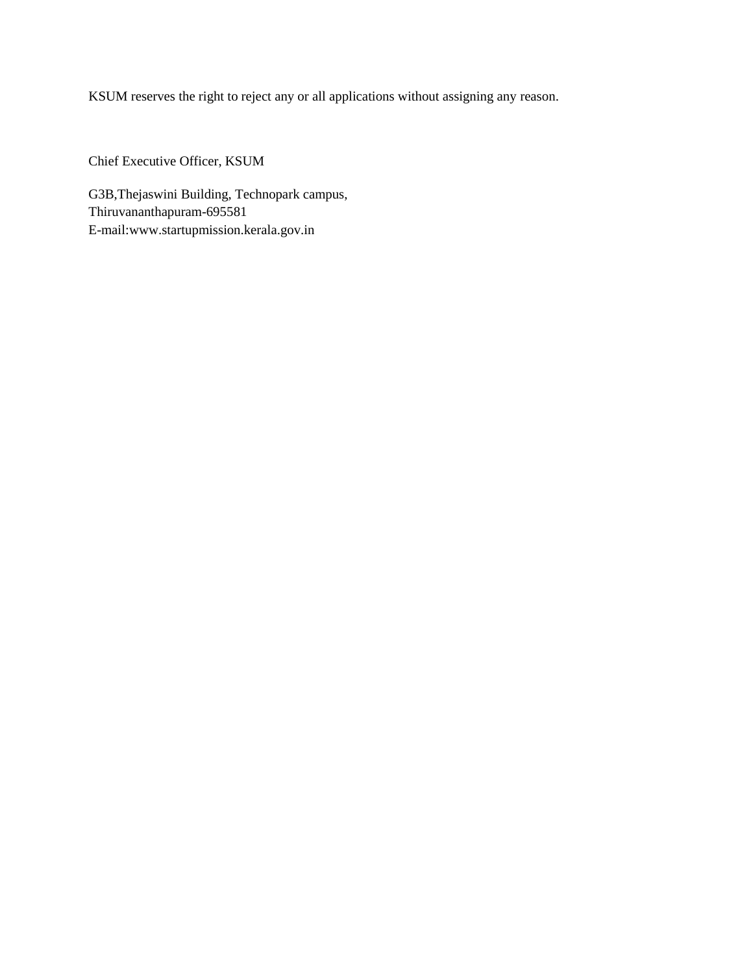KSUM reserves the right to reject any or all applications without assigning any reason.

Chief Executive Officer, KSUM

G3B,Thejaswini Building, Technopark campus, Thiruvananthapuram-695581 E-mail:www.startupmission.kerala.gov.in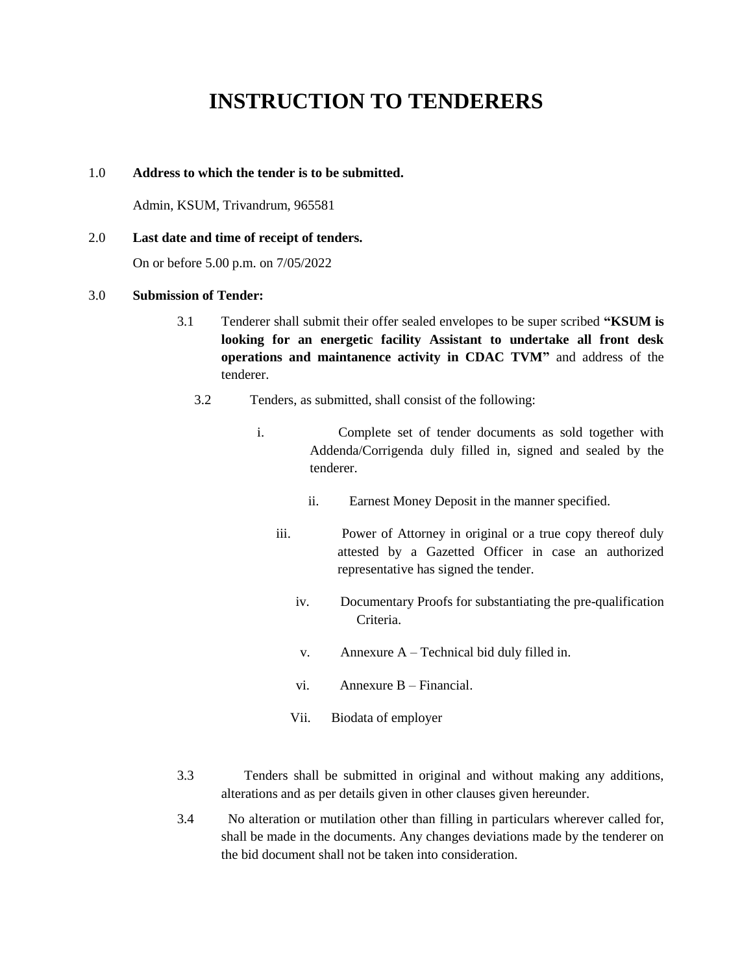# **INSTRUCTION TO TENDERERS**

#### 1.0 **Address to which the tender is to be submitted.**

Admin, KSUM, Trivandrum, 965581

#### 2.0 **Last date and time of receipt of tenders.**

On or before 5.00 p.m. on 7/05/2022

#### 3.0 **Submission of Tender:**

- 3.1 Tenderer shall submit their offer sealed envelopes to be super scribed **"KSUM is looking for an energetic facility Assistant to undertake all front desk operations and maintanence activity in CDAC TVM"** and address of the tenderer.
	- 3.2 Tenders, as submitted, shall consist of the following:
		- i. Complete set of tender documents as sold together with Addenda/Corrigenda duly filled in, signed and sealed by the tenderer.
			- ii. Earnest Money Deposit in the manner specified.
			- iii. Power of Attorney in original or a true copy thereof duly attested by a Gazetted Officer in case an authorized representative has signed the tender.
				- iv. Documentary Proofs for substantiating the pre-qualification Criteria.
				- v. Annexure A Technical bid duly filled in.
				- vi. Annexure B Financial.
				- Vii. Biodata of employer
- 3.3 Tenders shall be submitted in original and without making any additions, alterations and as per details given in other clauses given hereunder.
- 3.4 No alteration or mutilation other than filling in particulars wherever called for, shall be made in the documents. Any changes deviations made by the tenderer on the bid document shall not be taken into consideration.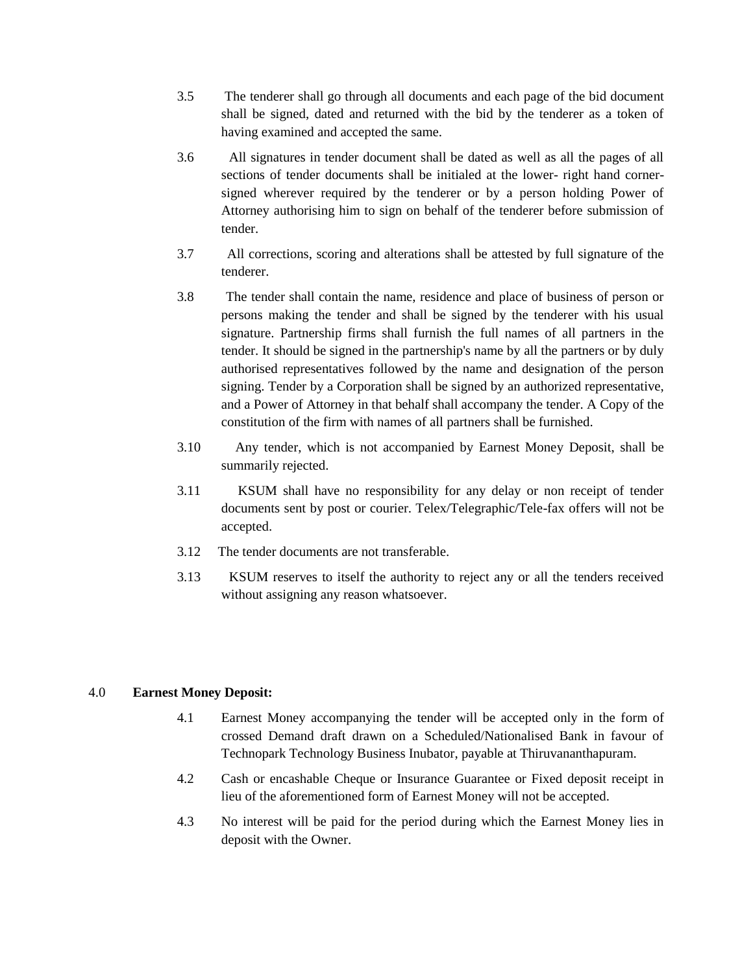- 3.5 The tenderer shall go through all documents and each page of the bid document shall be signed, dated and returned with the bid by the tenderer as a token of having examined and accepted the same.
- 3.6 All signatures in tender document shall be dated as well as all the pages of all sections of tender documents shall be initialed at the lower- right hand cornersigned wherever required by the tenderer or by a person holding Power of Attorney authorising him to sign on behalf of the tenderer before submission of tender.
- 3.7 All corrections, scoring and alterations shall be attested by full signature of the tenderer.
- 3.8 The tender shall contain the name, residence and place of business of person or persons making the tender and shall be signed by the tenderer with his usual signature. Partnership firms shall furnish the full names of all partners in the tender. It should be signed in the partnership's name by all the partners or by duly authorised representatives followed by the name and designation of the person signing. Tender by a Corporation shall be signed by an authorized representative, and a Power of Attorney in that behalf shall accompany the tender. A Copy of the constitution of the firm with names of all partners shall be furnished.
- 3.10 Any tender, which is not accompanied by Earnest Money Deposit, shall be summarily rejected.
- 3.11 KSUM shall have no responsibility for any delay or non receipt of tender documents sent by post or courier. Telex/Telegraphic/Tele-fax offers will not be accepted.
- 3.12 The tender documents are not transferable.
- 3.13 KSUM reserves to itself the authority to reject any or all the tenders received without assigning any reason whatsoever.

#### 4.0 **Earnest Money Deposit:**

- 4.1 Earnest Money accompanying the tender will be accepted only in the form of crossed Demand draft drawn on a Scheduled/Nationalised Bank in favour of Technopark Technology Business Inubator, payable at Thiruvananthapuram.
- 4.2 Cash or encashable Cheque or Insurance Guarantee or Fixed deposit receipt in lieu of the aforementioned form of Earnest Money will not be accepted.
- 4.3 No interest will be paid for the period during which the Earnest Money lies in deposit with the Owner.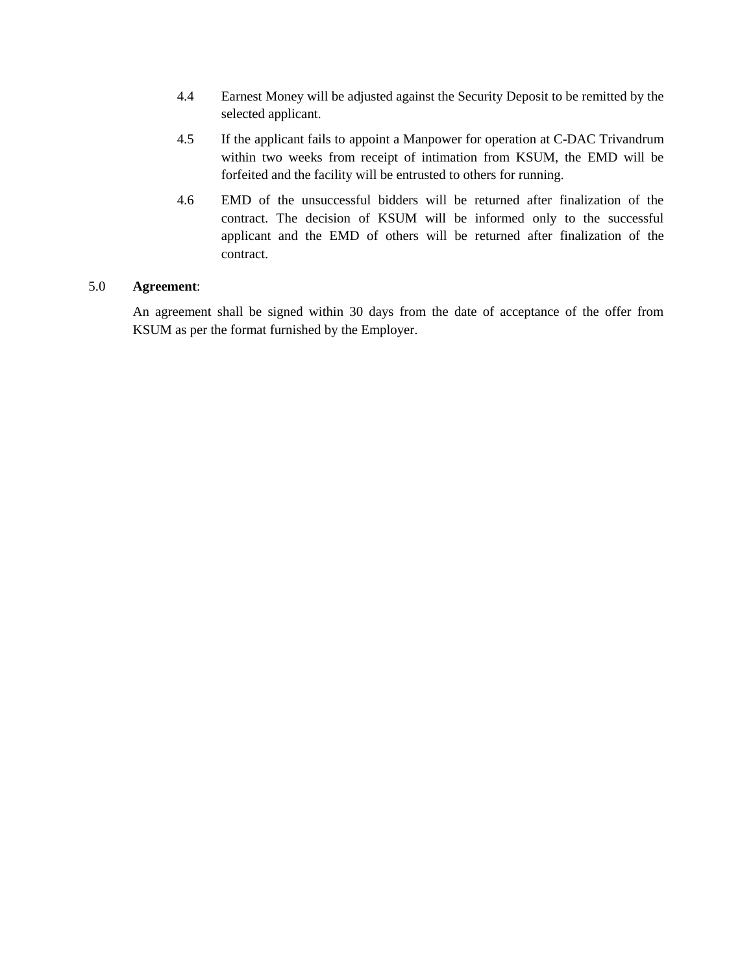- 4.4 Earnest Money will be adjusted against the Security Deposit to be remitted by the selected applicant.
- 4.5 If the applicant fails to appoint a Manpower for operation at C-DAC Trivandrum within two weeks from receipt of intimation from KSUM, the EMD will be forfeited and the facility will be entrusted to others for running.
- 4.6 EMD of the unsuccessful bidders will be returned after finalization of the contract. The decision of KSUM will be informed only to the successful applicant and the EMD of others will be returned after finalization of the contract.

#### 5.0 **Agreement**:

An agreement shall be signed within 30 days from the date of acceptance of the offer from KSUM as per the format furnished by the Employer.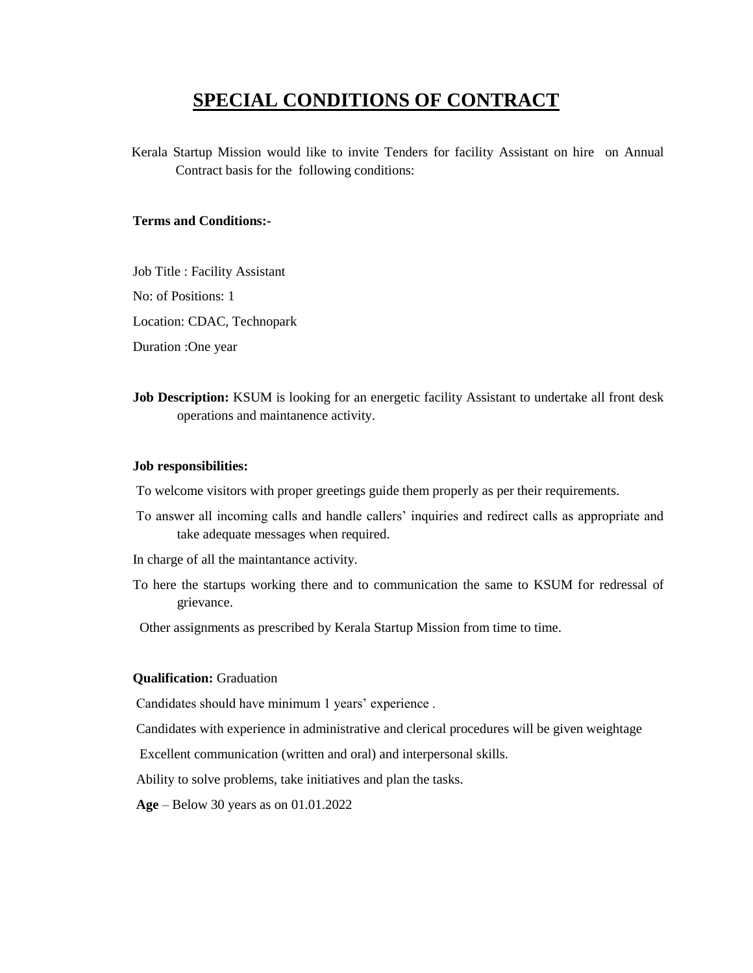## **SPECIAL CONDITIONS OF CONTRACT**

Kerala Startup Mission would like to invite Tenders for facility Assistant on hire on Annual Contract basis for the following conditions:

#### **Terms and Conditions:-**

Job Title : Facility Assistant

No: of Positions: 1

Location: CDAC, Technopark

Duration :One year

**Job Description:** KSUM is looking for an energetic facility Assistant to undertake all front desk operations and maintanence activity.

#### **Job responsibilities:**

To welcome visitors with proper greetings guide them properly as per their requirements.

- To answer all incoming calls and handle callers' inquiries and redirect calls as appropriate and take adequate messages when required.
- In charge of all the maintantance activity.
- To here the startups working there and to communication the same to KSUM for redressal of grievance.

Other assignments as prescribed by Kerala Startup Mission from time to time.

#### **Qualification:** Graduation

Candidates should have minimum 1 years' experience .

Candidates with experience in administrative and clerical procedures will be given weightage

Excellent communication (written and oral) and interpersonal skills.

Ability to solve problems, take initiatives and plan the tasks.

**Age** – Below 30 years as on 01.01.2022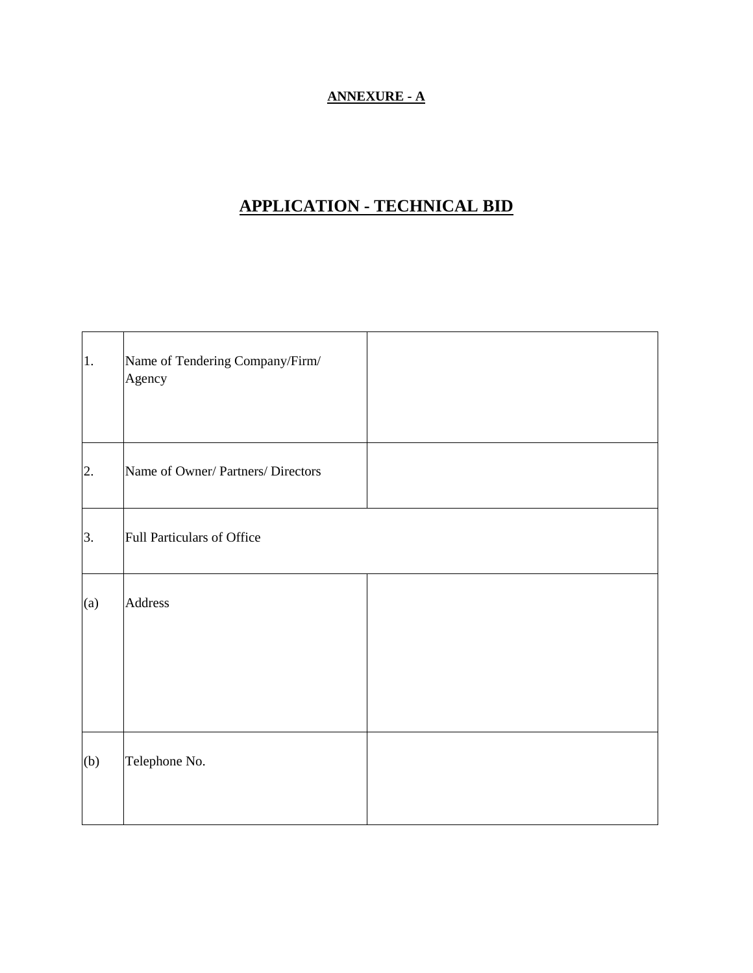### **ANNEXURE - A**

## **APPLICATION - TECHNICAL BID**

| 1.  | Name of Tendering Company/Firm/<br>Agency |  |
|-----|-------------------------------------------|--|
| 2.  | Name of Owner/ Partners/ Directors        |  |
| 3.  | Full Particulars of Office                |  |
| (a) | <b>Address</b>                            |  |
| (b) | Telephone No.                             |  |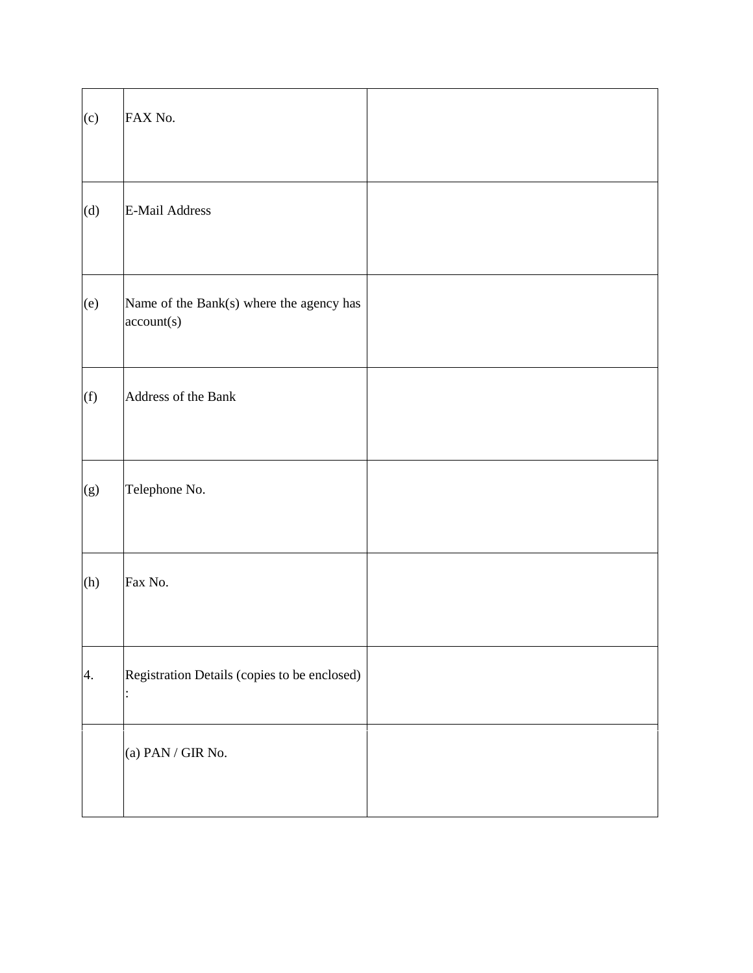| (c) | FAX No.                                                |  |
|-----|--------------------------------------------------------|--|
| (d) | <b>E-Mail Address</b>                                  |  |
| (e) | Name of the Bank(s) where the agency has<br>account(s) |  |
| (f) | Address of the Bank                                    |  |
| (g) | Telephone No.                                          |  |
| (h) | Fax No.                                                |  |
| 4.  | Registration Details (copies to be enclosed)           |  |
|     | (a) PAN / GIR No.                                      |  |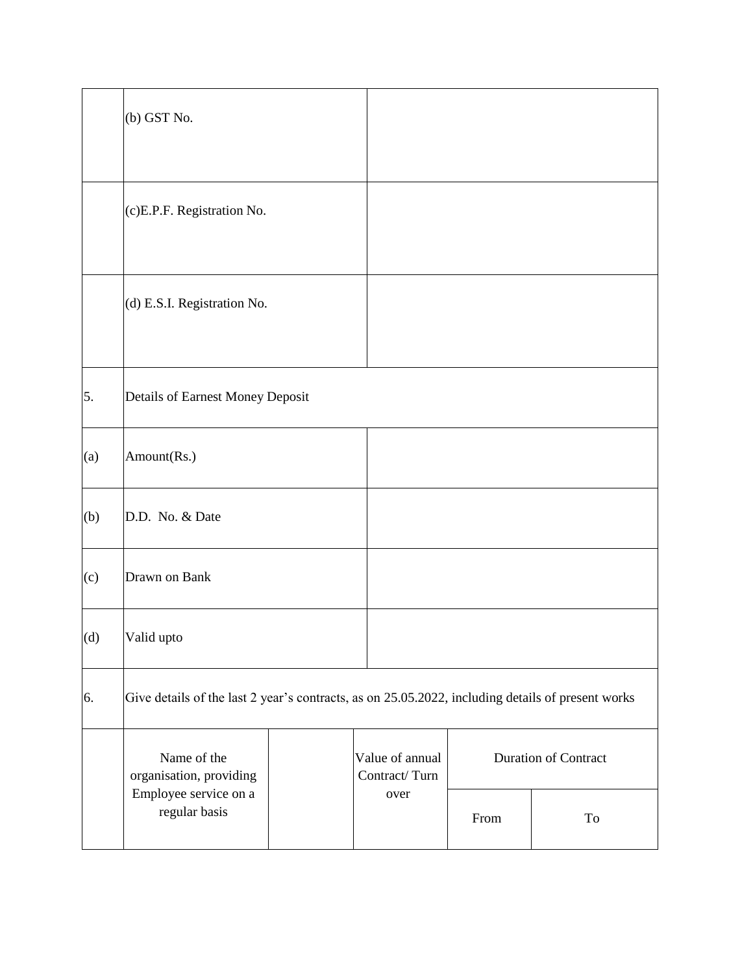|     | (b) GST No.                                                                                       |  |                                  |                             |    |
|-----|---------------------------------------------------------------------------------------------------|--|----------------------------------|-----------------------------|----|
|     | (c)E.P.F. Registration No.                                                                        |  |                                  |                             |    |
|     | (d) E.S.I. Registration No.                                                                       |  |                                  |                             |    |
| 5.  | Details of Earnest Money Deposit                                                                  |  |                                  |                             |    |
| (a) | Amount(Rs.)                                                                                       |  |                                  |                             |    |
| (b) | D.D. No. & Date                                                                                   |  |                                  |                             |    |
| (c) | Drawn on Bank                                                                                     |  |                                  |                             |    |
| (d) | Valid upto                                                                                        |  |                                  |                             |    |
| 6.  | Give details of the last 2 year's contracts, as on 25.05.2022, including details of present works |  |                                  |                             |    |
|     | Name of the<br>organisation, providing                                                            |  | Value of annual<br>Contract/Turn | <b>Duration of Contract</b> |    |
|     | Employee service on a<br>regular basis                                                            |  | over                             | From                        | To |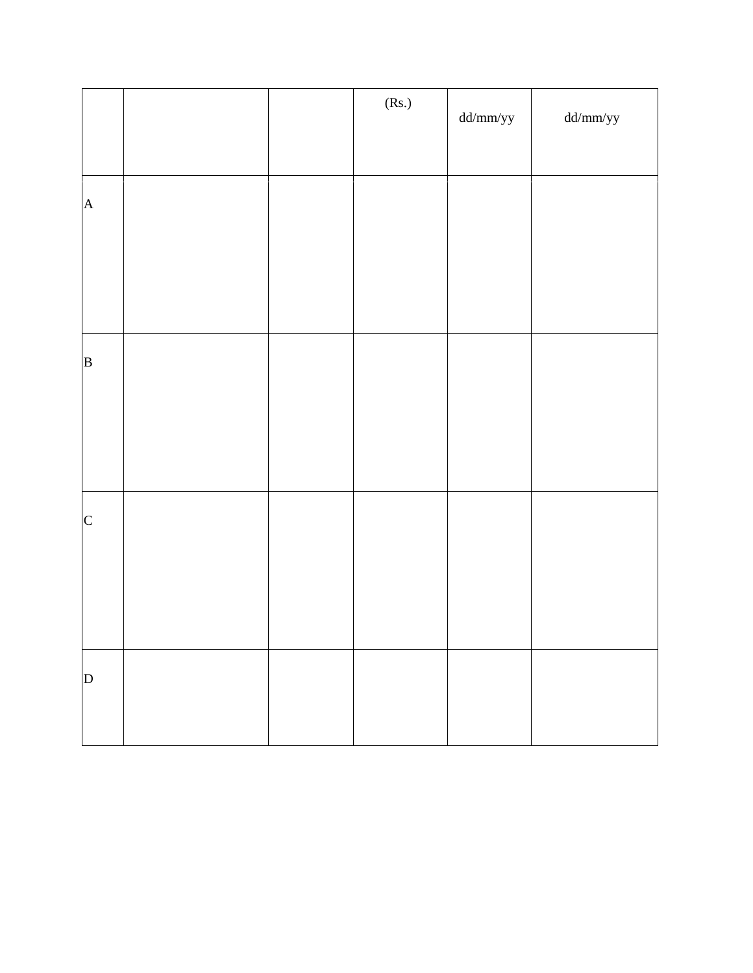|                |  | (Rs.) | $dd/mm/yy$ | $dd/mm/yy$ |
|----------------|--|-------|------------|------------|
|                |  |       |            |            |
| $\mathbf A$    |  |       |            |            |
|                |  |       |            |            |
|                |  |       |            |            |
| $\overline{B}$ |  |       |            |            |
|                |  |       |            |            |
|                |  |       |            |            |
| $\mathbf C$    |  |       |            |            |
|                |  |       |            |            |
|                |  |       |            |            |
| $\mathbf D$    |  |       |            |            |
|                |  |       |            |            |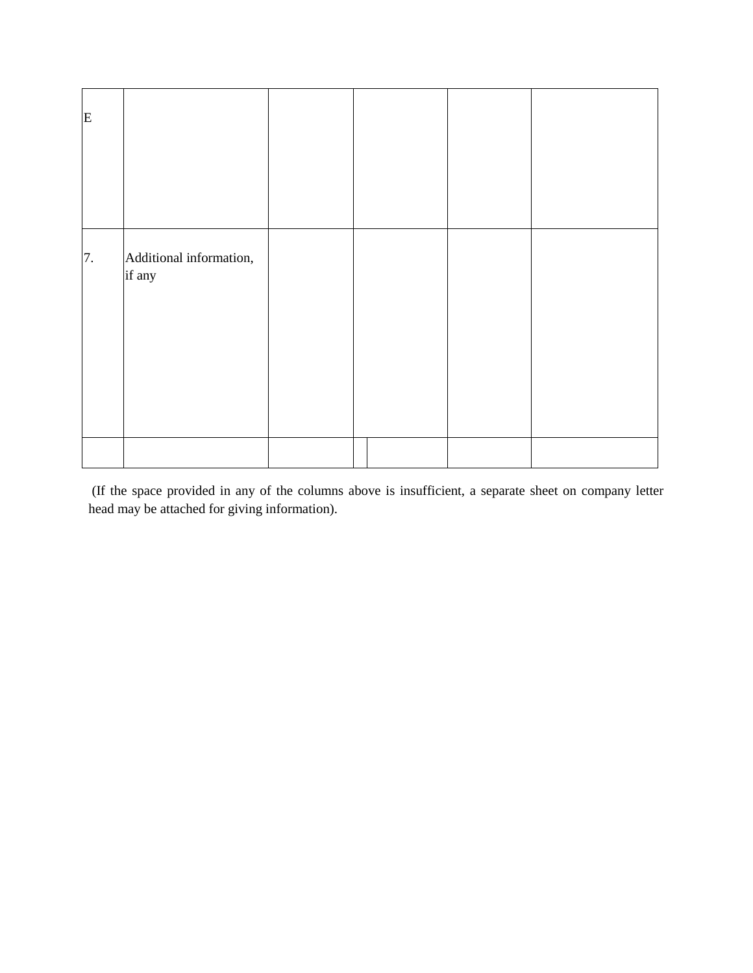| E  |                                   |  |  |
|----|-----------------------------------|--|--|
| 7. | Additional information,<br>if any |  |  |
|    |                                   |  |  |

(If the space provided in any of the columns above is insufficient, a separate sheet on company letter head may be attached for giving information).